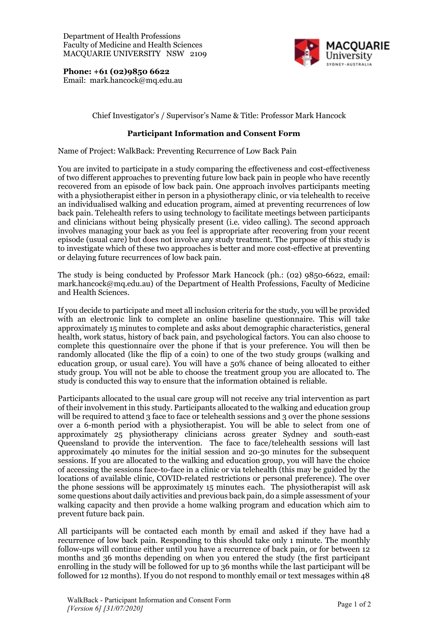

**Phone: +61 (02)9850 6622** Email: mark.hancock@mq.edu.au

## Chief Investigator's / Supervisor's Name & Title: Professor Mark Hancock

## **Participant Information and Consent Form**

Name of Project: WalkBack: Preventing Recurrence of Low Back Pain

You are invited to participate in a study comparing the effectiveness and cost-effectiveness of two different approaches to preventing future low back pain in people who have recently recovered from an episode of low back pain. One approach involves participants meeting with a physiotherapist either in person in a physiotherapy clinic, or via telehealth to receive an individualised walking and education program, aimed at preventing recurrences of low back pain. Telehealth refers to using technology to facilitate meetings between participants and clinicians without being physically present (i.e. video calling). The second approach involves managing your back as you feel is appropriate after recovering from your recent episode (usual care) but does not involve any study treatment. The purpose of this study is to investigate which of these two approaches is better and more cost-effective at preventing or delaying future recurrences of low back pain.

The study is being conducted by Professor Mark Hancock (ph.: (02) 9850-6622, email: mark.hancock@mq.edu.au) of the Department of Health Professions, Faculty of Medicine and Health Sciences.

If you decide to participate and meet all inclusion criteria for the study, you will be provided with an electronic link to complete an online baseline questionnaire. This will take approximately 15 minutes to complete and asks about demographic characteristics, general health, work status, history of back pain, and psychological factors. You can also choose to complete this questionnaire over the phone if that is your preference. You will then be randomly allocated (like the flip of a coin) to one of the two study groups (walking and education group, or usual care). You will have a 50% chance of being allocated to either study group. You will not be able to choose the treatment group you are allocated to. The study is conducted this way to ensure that the information obtained is reliable.

Participants allocated to the usual care group will not receive any trial intervention as part of their involvement in this study. Participants allocated to the walking and education group will be required to attend 3 face to face or telehealth sessions and 3 over the phone sessions over a 6-month period with a physiotherapist. You will be able to select from one of approximately 25 physiotherapy clinicians across greater Sydney and south-east Queensland to provide the intervention. The face to face/telehealth sessions will last approximately 40 minutes for the initial session and 20-30 minutes for the subsequent sessions. If you are allocated to the walking and education group, you will have the choice of accessing the sessions face-to-face in a clinic or via telehealth (this may be guided by the locations of available clinic, COVID-related restrictions or personal preference). The over the phone sessions will be approximately 15 minutes each. The physiotherapist will ask some questions about daily activities and previous back pain, do a simple assessment of your walking capacity and then provide a home walking program and education which aim to prevent future back pain.

All participants will be contacted each month by email and asked if they have had a recurrence of low back pain. Responding to this should take only 1 minute. The monthly follow-ups will continue either until you have a recurrence of back pain, or for between 12 months and 36 months depending on when you entered the study (the first participant enrolling in the study will be followed for up to 36 months while the last participant will be followed for 12 months). If you do not respond to monthly email or text messages within 48